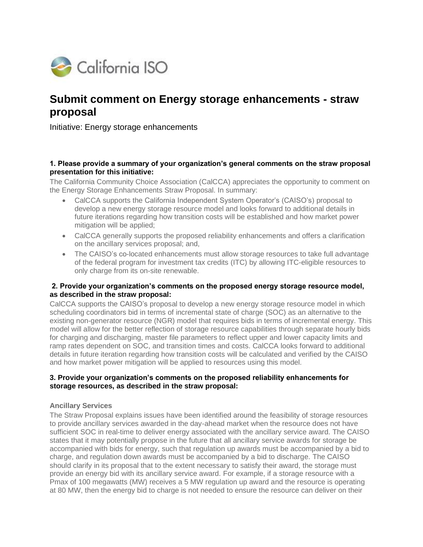

# **Submit comment on Energy storage enhancements - straw proposal**

Initiative: Energy storage enhancements

#### **1. Please provide a summary of your organization's general comments on the straw proposal presentation for this initiative:**

The California Community Choice Association (CalCCA) appreciates the opportunity to comment on the Energy Storage Enhancements Straw Proposal. In summary:

- CalCCA supports the California Independent System Operator's (CAISO's) proposal to develop a new energy storage resource model and looks forward to additional details in future iterations regarding how transition costs will be established and how market power mitigation will be applied;
- CalCCA generally supports the proposed reliability enhancements and offers a clarification on the ancillary services proposal; and,
- The CAISO's co-located enhancements must allow storage resources to take full advantage of the federal program for investment tax credits (ITC) by allowing ITC-eligible resources to only charge from its on-site renewable.

#### **2. Provide your organization's comments on the proposed energy storage resource model, as described in the straw proposal:**

CalCCA supports the CAISO's proposal to develop a new energy storage resource model in which scheduling coordinators bid in terms of incremental state of charge (SOC) as an alternative to the existing non-generator resource (NGR) model that requires bids in terms of incremental energy. This model will allow for the better reflection of storage resource capabilities through separate hourly bids for charging and discharging, master file parameters to reflect upper and lower capacity limits and ramp rates dependent on SOC, and transition times and costs. CalCCA looks forward to additional details in future iteration regarding how transition costs will be calculated and verified by the CAISO and how market power mitigation will be applied to resources using this model.

# **3. Provide your organization's comments on the proposed reliability enhancements for storage resources, as described in the straw proposal:**

# **Ancillary Services**

The Straw Proposal explains issues have been identified around the feasibility of storage resources to provide ancillary services awarded in the day-ahead market when the resource does not have sufficient SOC in real-time to deliver energy associated with the ancillary service award. The CAISO states that it may potentially propose in the future that all ancillary service awards for storage be accompanied with bids for energy, such that regulation up awards must be accompanied by a bid to charge, and regulation down awards must be accompanied by a bid to discharge. The CAISO should clarify in its proposal that to the extent necessary to satisfy their award, the storage must provide an energy bid with its ancillary service award. For example, if a storage resource with a Pmax of 100 megawatts (MW) receives a 5 MW regulation up award and the resource is operating at 80 MW, then the energy bid to charge is not needed to ensure the resource can deliver on their